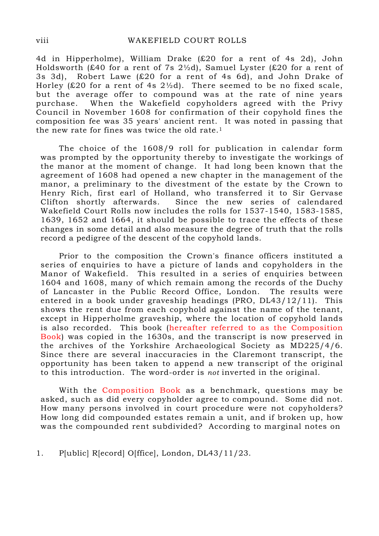4d in Hipperholme), William Drake (£20 for a rent of 4s 2d), John Holdsworth (£40 for a rent of 7s  $2\frac{1}{2}$ d), Samuel Lyster (£20 for a rent of 3s 3d), Robert Lawe (£20 for a rent of 4s 6d), and John Drake of Horley (£20 for a rent of 4s  $2\frac{1}{2}d$ ). There seemed to be no fixed scale, but the average offer to compound was at the rate of nine years purchase. When the Wakefield copyholders agreed with the Privy Council in November 1608 for confirmation of their copyhold fines the composition fee was 35 years' ancient rent. It was noted in passing that the new rate for fines was twice the old rate.<sup>1</sup>

 The choice of the 1608/9 roll for publication in calendar form was prompted by the opportunity thereby to investigate the workings of the manor at the moment of change. It had long been known that the agreement of 1608 had opened a new chapter in the management of the manor, a preliminary to the divestment of the estate by the Crown to Henry Rich, first earl of Holland, who transferred it to Sir Gervase Clifton shortly afterwards. Since the new series of calendared Wakefield Court Rolls now includes the rolls for 1537-1540, 1583-1585, 1639, 1652 and 1664, it should be possible to trace the effects of these changes in some detail and also measure the degree of truth that the rolls record a pedigree of the descent of the copyhold lands.

 Prior to the composition the Crown's finance officers instituted a series of enquiries to have a picture of lands and copyholders in the Manor of Wakefield. This resulted in a series of enquiries between 1604 and 1608, many of which remain among the records of the Duchy of Lancaster in the Public Record Office, London. The results were entered in a book under graveship headings (PRO, DL43/12/11). This shows the rent due from each copyhold against the name of the tenant, except in Hipperholme graveship, where the location of copyhold lands is also recorded. This book (hereafter referred to as the Composition Book) was copied in the 1630s, and the transcript is now preserved in the archives of the Yorkshire Archaeological Society as MD225/4/6. Since there are several inaccuracies in the Claremont transcript, the opportunity has been taken to append a new transcript of the original to this introduction. The word-order is not inverted in the original.

 With the Composition Book as a benchmark, questions may be asked, such as did every copyholder agree to compound. Some did not. How many persons involved in court procedure were not copyholders? How long did compounded estates remain a unit, and if broken up, how was the compounded rent subdivided? According to marginal notes on

1. P[ublic] R[ecord] O[ffice], London, DL43/11/23.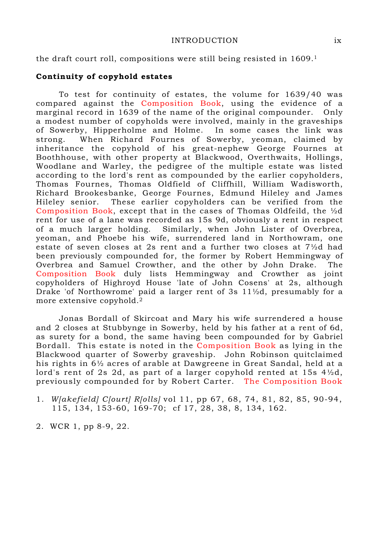#### INTRODUCTION ix

the draft court roll, compositions were still being resisted in 1609.<sup>1</sup>

### Continuity of copyhold estates

 To test for continuity of estates, the volume for 1639/40 was compared against the Composition Book, using the evidence of a marginal record in 1639 of the name of the original compounder. Only a modest number of copyholds were involved, mainly in the graveships of Sowerby, Hipperholme and Holme. In some cases the link was strong. When Richard Fournes of Sowerby, yeoman, claimed by inheritance the copyhold of his great-nephew George Fournes at Boothhouse, with other property at Blackwood, Overthwaits, Hollings, Woodlane and Warley, the pedigree of the multiple estate was listed according to the lord's rent as compounded by the earlier copyholders, Thomas Fournes, Thomas Oldfield of Cliffhill, William Wadisworth, Richard Brookesbanke, George Fournes, Edmund Hileley and James Hileley senior. These earlier copyholders can be verified from the Composition Book, except that in the cases of Thomas Oldfeild, the ½d rent for use of a lane was recorded as 15s 9d, obviously a rent in respect of a much larger holding. Similarly, when John Lister of Overbrea, yeoman, and Phoebe his wife, surrendered land in Northowram, one estate of seven closes at 2s rent and a further two closes at 7½d had been previously compounded for, the former by Robert Hemmingway of Overbrea and Samuel Crowther, and the other by John Drake. The Composition Book duly lists Hemmingway and Crowther as joint copyholders of Highroyd House 'late of John Cosens' at 2s, although Drake 'of Northowrome' paid a larger rent of 3s 11½d, presumably for a more extensive copyhold.<sup>2</sup>

 Jonas Bordall of Skircoat and Mary his wife surrendered a house and 2 closes at Stubbynge in Sowerby, held by his father at a rent of 6d, as surety for a bond, the same having been compounded for by Gabriel Bordall. This estate is noted in the Composition Book as lying in the Blackwood quarter of Sowerby graveship. John Robinson quitclaimed his rights in 6½ acres of arable at Dawgreene in Great Sandal, held at a lord's rent of 2s 2d, as part of a larger copyhold rented at 15s 4½d, previously compounded for by Robert Carter. The Composition Book

- 1. W[akefield] C[ourt] R[olls] vol 11, pp 67, 68, 74, 81, 82, 85, 90-94, 115, 134, 153-60, 169-70; cf 17, 28, 38, 8, 134, 162.
- 2. WCR 1, pp 8-9, 22.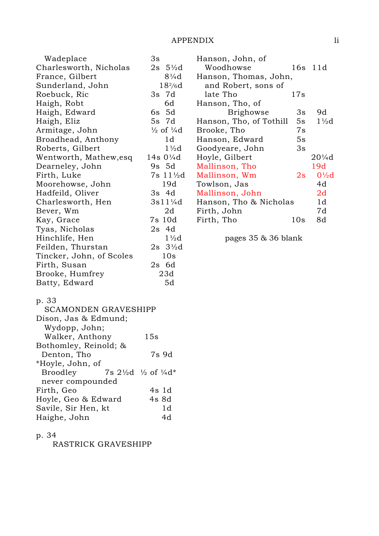| Wadeplace<br>3s<br>Hanson, John, of                                         |                 |  |  |  |  |
|-----------------------------------------------------------------------------|-----------------|--|--|--|--|
| $2s \frac{5}{2}d$<br>Charlesworth, Nicholas<br>Woodhowse<br>16s 11d         |                 |  |  |  |  |
| $8\frac{1}{4}d$<br>Hanson, Thomas, John,<br>France, Gilbert                 |                 |  |  |  |  |
| $18^{2}/6d$<br>Sunderland, John<br>and Robert, sons of                      |                 |  |  |  |  |
| 3s 7d<br>Roebuck, Ric<br>late Tho<br>17s                                    |                 |  |  |  |  |
| 6d<br>Haigh, Robt<br>Hanson, Tho, of                                        |                 |  |  |  |  |
| 6s 5d<br>9d<br>Haigh, Edward<br><b>Brighowse</b><br>3s                      |                 |  |  |  |  |
| 5s 7d<br>Hanson, Tho, of Tothill<br>Haigh, Eliz<br>5s                       | $1\frac{1}{2}d$ |  |  |  |  |
| $\frac{1}{2}$ of $\frac{1}{4}d$<br>Armitage, John<br>7s<br>Brooke, Tho      |                 |  |  |  |  |
| 1d<br>Broadhead, Anthony<br>5s<br>Hanson, Edward                            |                 |  |  |  |  |
| $1\frac{1}{2}d$<br>3s<br>Roberts, Gilbert<br>Goodyeare, John                |                 |  |  |  |  |
| 14s $0\frac{1}{4}d$<br>Wentworth, Mathew, esq<br>Hoyle, Gilbert<br>$20\%$ d |                 |  |  |  |  |
| 9s 5d<br>19d<br>Mallinson, Tho<br>Dearneley, John                           |                 |  |  |  |  |
| 7s 11½d<br>Mallinson, Wm<br>Firth, Luke<br>2s                               | $0\frac{1}{2}d$ |  |  |  |  |
| 19d<br>4d<br>Moorehowse, John<br>Towlson, Jas                               |                 |  |  |  |  |
| 2d<br>Hadfeild, Oliver<br>3s 4d<br>Mallinson, John                          |                 |  |  |  |  |
| $3s11\frac{1}{4}d$<br>1d<br>Charlesworth, Hen<br>Hanson, Tho & Nicholas     |                 |  |  |  |  |
| 2d<br>7d<br>Bever, Wm<br>Firth, John                                        |                 |  |  |  |  |
| 7s 10d<br>8d<br>Kay, Grace<br>Firth, Tho<br>10s                             |                 |  |  |  |  |
| $2s$ 4d<br>Tyas, Nicholas                                                   |                 |  |  |  |  |
| $1\frac{1}{2}d$<br>Hinchlife, Hen<br>pages $35 \& 36$ blank                 |                 |  |  |  |  |
| $2s \frac{3}{2}d$<br>Feilden, Thurstan                                      |                 |  |  |  |  |
| 10s<br>Tincker, John, of Scoles                                             |                 |  |  |  |  |
| $2s$ 6d<br>Firth, Susan                                                     |                 |  |  |  |  |
| 23d<br>Brooke, Humfrey                                                      |                 |  |  |  |  |
| 5d<br>Batty, Edward                                                         |                 |  |  |  |  |
| p. 33                                                                       |                 |  |  |  |  |
| <b>SCAMONDEN GRAVESHIPP</b>                                                 |                 |  |  |  |  |
| Dison, Jas & Edmund;                                                        |                 |  |  |  |  |
| Wydopp, John;                                                               |                 |  |  |  |  |
| 15s<br>Walker, Anthony                                                      |                 |  |  |  |  |

p. 34

RASTRICK GRAVESHIPP

Denton, Tho 7s 9d

Broodley 7s  $2\frac{1}{2}d$   $\frac{1}{2}$  of  $\frac{1}{4}d^*$ 

Firth, Geo 4s 1d Hoyle, Geo & Edward 4s 8d<br>Savile, Sir Hen, kt 1d

Haighe, John 4d

Bothomley, Reinold; &

never compounded

Savile, Sir Hen, kt

\*Hoyle, John, of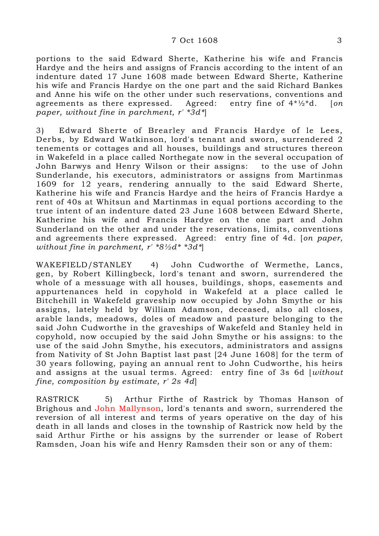### 7 Oct 1608 3

portions to the said Edward Sherte, Katherine his wife and Francis Hardye and the heirs and assigns of Francis according to the intent of an indenture dated 17 June 1608 made between Edward Sherte, Katherine his wife and Francis Hardye on the one part and the said Richard Bankes and Anne his wife on the other under such reservations, conventions and agreements as there expressed. Agreed: entry fine of  $4^*/2^*d$ . [on paper, without fine in parchment,  $r'$  \*3d\*

3) Edward Sherte of Brearley and Francis Hardye of le Lees, Derbs, by Edward Watkinson, lord's tenant and sworn, surrendered 2 tenements or cottages and all houses, buildings and structures thereon in Wakefeld in a place called Northegate now in the several occupation of John Barwys and Henry Wilson or their assigns: to the use of John Sunderlande, his executors, administrators or assigns from Martinmas 1609 for 12 years, rendering annually to the said Edward Sherte, Katherine his wife and Francis Hardye and the heirs of Francis Hardye a rent of 40s at Whitsun and Martinmas in equal portions according to the true intent of an indenture dated 23 June 1608 between Edward Sherte, Katherine his wife and Francis Hardye on the one part and John Sunderland on the other and under the reservations, limits, conventions and agreements there expressed. Agreed: entry fine of 4d. [on paper, without fine in parchment,  $r' * 8 \frac{1}{2}d * *3d'$ 

WAKEFIELD/STANLEY 4) John Cudworthe of Wermethe, Lancs, gen, by Robert Killingbeck, lord's tenant and sworn, surrendered the whole of a messuage with all houses, buildings, shops, easements and appurtenances held in copyhold in Wakefeld at a place called le Bitchehill in Wakefeld graveship now occupied by John Smythe or his assigns, lately held by William Adamson, deceased, also all closes, arable lands, meadows, doles of meadow and pasture belonging to the said John Cudworthe in the graveships of Wakefeld and Stanley held in copyhold, now occupied by the said John Smythe or his assigns: to the use of the said John Smythe, his executors, administrators and assigns from Nativity of St John Baptist last past [24 June 1608] for the term of 30 years following, paying an annual rent to John Cudworthe, his heirs and assigns at the usual terms. Agreed: entry fine of 3s 6d [without fine, composition by estimate, r' 2s 4d]

RASTRICK 5) Arthur Firthe of Rastrick by Thomas Hanson of Brighous and John Mallynson, lord's tenants and sworn, surrendered the reversion of all interest and terms of years operative on the day of his death in all lands and closes in the township of Rastrick now held by the said Arthur Firthe or his assigns by the surrender or lease of Robert Ramsden, Joan his wife and Henry Ramsden their son or any of them: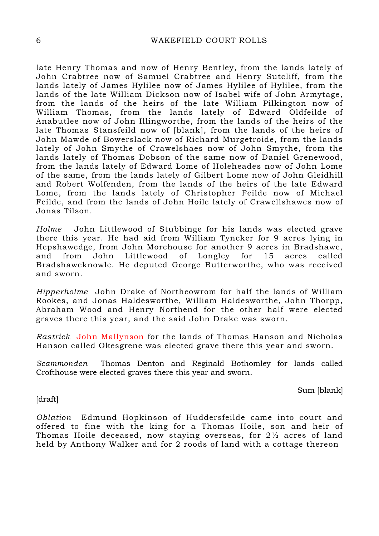late Henry Thomas and now of Henry Bentley, from the lands lately of John Crabtree now of Samuel Crabtree and Henry Sutcliff, from the lands lately of James Hylilee now of James Hylilee of Hylilee, from the lands of the late William Dickson now of Isabel wife of John Armytage, from the lands of the heirs of the late William Pilkington now of William Thomas, from the lands lately of Edward Oldfeilde of Anabutlee now of John Illingworthe, from the lands of the heirs of the late Thomas Stansfeild now of [blank], from the lands of the heirs of John Mawde of Bowerslack now of Richard Murgetroide, from the lands lately of John Smythe of Crawelshaes now of John Smythe, from the lands lately of Thomas Dobson of the same now of Daniel Grenewood, from the lands lately of Edward Lome of Holeheades now of John Lome of the same, from the lands lately of Gilbert Lome now of John Gleidhill and Robert Wolfenden, from the lands of the heirs of the late Edward Lome, from the lands lately of Christopher Feilde now of Michael Feilde, and from the lands of John Hoile lately of Crawellshawes now of Jonas Tilson.

Holme John Littlewood of Stubbinge for his lands was elected grave there this year. He had aid from William Tyncker for 9 acres lying in Hepshawedge, from John Morehouse for another 9 acres in Bradshawe, and from John Littlewood of Longley for 15 acres called Bradshaweknowle. He deputed George Butterworthe, who was received and sworn.

Hipperholme John Drake of Northeowrom for half the lands of William Rookes, and Jonas Haldesworthe, William Haldesworthe, John Thorpp, Abraham Wood and Henry Northend for the other half were elected graves there this year, and the said John Drake was sworn.

Rastrick John Mallynson for the lands of Thomas Hanson and Nicholas Hanson called Okesgrene was elected grave there this year and sworn.

Scammonden Thomas Denton and Reginald Bothomley for lands called Crofthouse were elected graves there this year and sworn.

Sum [blank]

[draft]

Oblation Edmund Hopkinson of Huddersfeilde came into court and offered to fine with the king for a Thomas Hoile, son and heir of Thomas Hoile deceased, now staying overseas, for 2½ acres of land held by Anthony Walker and for 2 roods of land with a cottage thereon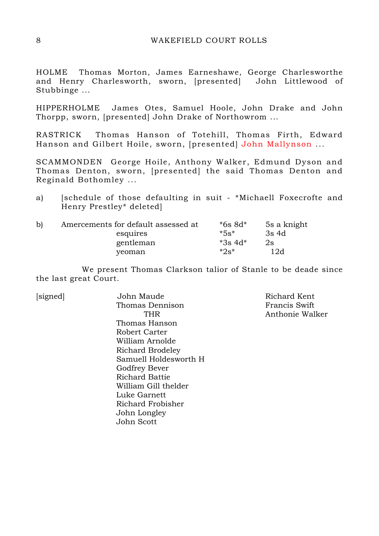## 8 WAKEFIELD COURT ROLLS

HOLME Thomas Morton, James Earneshawe, George Charlesworthe and Henry Charlesworth, sworn, [presented] John Littlewood of Stubbinge ...

HIPPERHOLME James Otes, Samuel Hoole, John Drake and John Thorpp, sworn, [presented] John Drake of Northowrom ...

RASTRICK Thomas Hanson of Totehill, Thomas Firth, Edward Hanson and Gilbert Hoile, sworn, [presented] John Mallynson ...

SCAMMONDEN George Hoile, Anthony Walker, Edmund Dyson and Thomas Denton, sworn, [presented] the said Thomas Denton and Reginald Bothomley ...

a) [schedule of those defaulting in suit - \*Michaell Foxecrofte and Henry Prestley\* deleted]

| $\mathbf{b}$ | Amercements for default assessed at | $*6s$ 8d $*$ | 5s a knight |
|--------------|-------------------------------------|--------------|-------------|
|              | esquires                            | $*5s*$       | 3s 4d       |
|              | gentleman                           | $*3s$ 4d*    | 2s          |
|              | yeoman                              | *2s*         | 12d         |

 We present Thomas Clarkson talior of Stanle to be deade since the last great Court.

| [signed] | John Maude            | Richard Kent    |
|----------|-----------------------|-----------------|
|          | Thomas Dennison       | Francis Swift   |
|          | THR                   | Anthonie Walker |
|          | Thomas Hanson         |                 |
|          | Robert Carter         |                 |
|          | William Arnolde       |                 |
|          | Richard Brodeley      |                 |
|          | Samuell Holdesworth H |                 |
|          | Godfrey Bever         |                 |
|          | Richard Battie        |                 |
|          | William Gill thelder  |                 |
|          | Luke Garnett          |                 |
|          | Richard Frobisher     |                 |
|          | John Longley          |                 |
|          | John Scott            |                 |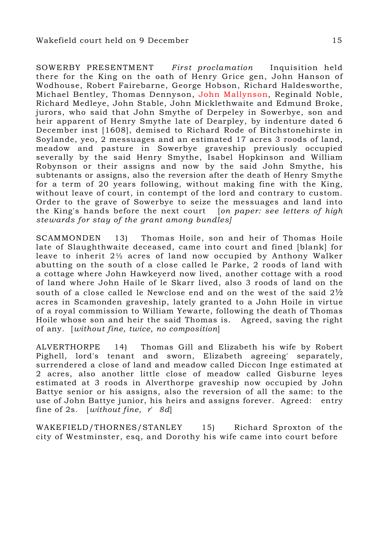SOWERBY PRESENTMENT First proclamation Inquisition held there for the King on the oath of Henry Grice gen, John Hanson of Wodhouse, Robert Fairebarne, George Hobson, Richard Haldesworthe, Michael Bentley, Thomas Dennyson, John Mallynson, Reginald Noble, Richard Medleye, John Stable, John Micklethwaite and Edmund Broke, jurors, who said that John Smythe of Derpeley in Sowerbye, son and heir apparent of Henry Smythe late of Dearpley, by indenture dated 6 December inst [1608], demised to Richard Rode of Bitchstonehirste in Soylande, yeo, 2 messuages and an estimated 17 acres 3 roods of land, meadow and pasture in Sowerbye graveship previously occupied severally by the said Henry Smythe, Isabel Hopkinson and William Robynson or their assigns and now by the said John Smythe, his subtenants or assigns, also the reversion after the death of Henry Smythe for a term of 20 years following, without making fine with the King, without leave of court, in contempt of the lord and contrary to custom. Order to the grave of Sowerbye to seize the messuages and land into the King's hands before the next court [on paper: see letters of high stewards for stay of the grant among bundles]

SCAMMONDEN 13) Thomas Hoile, son and heir of Thomas Hoile late of Slaughthwaite deceased, came into court and fined [blank] for leave to inherit 2½ acres of land now occupied by Anthony Walker abutting on the south of a close called le Parke, 2 roods of land with a cottage where John Hawkeyerd now lived, another cottage with a rood of land where John Haile of le Skarr lived, also 3 roods of land on the south of a close called le Newclose end and on the west of the said 2½ acres in Scamonden graveship, lately granted to a John Hoile in virtue of a royal commission to William Yewarte, following the death of Thomas Hoile whose son and heir the said Thomas is. Agreed, saving the right of any. [without fine, twice, no composition]

ALVERTHORPE 14) Thomas Gill and Elizabeth his wife by Robert Pighell, lord's tenant and sworn, Elizabeth agreeing' separately, surrendered a close of land and meadow called Diccon Inge estimated at 2 acres, also another little close of meadow called Gisburne leyes estimated at 3 roods in Alverthorpe graveship now occupied by John Battye senior or his assigns, also the reversion of all the same: to the use of John Battye junior, his heirs and assigns forever. Agreed: entry fine of 2s.  $[without fine, r' 8d]$ 

WAKEFIELD/THORNES/STANLEY 15) Richard Sproxton of the city of Westminster, esq, and Dorothy his wife came into court before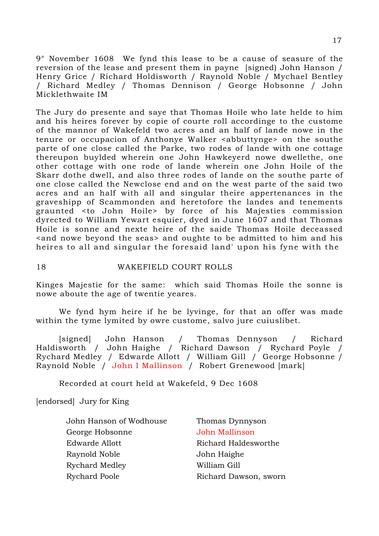9° November 1608 We fynd this lease to be a cause of seasure of the reversion of the lease and present them in payne [signed) John Hanson / Henry Grice / Richard Holdisworth / Raynold Noble / Mychael Bentley / Richard Medley / Thomas Dennison / George Hobsonne / John Micklethwaite IM

The Jury do presente and saye that Thomas Hoile who late helde to him and his heires forever by copie of courte roll accordinge to the custome of the mannor of Wakefeld two acres and an half of lande nowe in the tenure or occupacion of Anthonye Walker <abbuttynge> on the southe parte of one close called the Parke, two rodes of lande with one cottage thereupon buylded wherein one John Hawkeyerd nowe dwellethe, one other cottage with one rode of lande wherein one John Hoile of the Skarr dothe dwell, and also three rodes of lande on the southe parte of one close called the Newclose end and on the west parte of the said two acres and an half with all and singular theire appertenances in the graveshipp of Scammonden and heretofore the landes and tenements graunted <to John Hoile> by force of his Majesties commission dyrected to William Yewart esquier, dyed in June 1607 and that Thomas Hoile is sonne and nexte heire of the saide Thomas Hoile deceassed <and nowe beyond the seas> and oughte to be admitted to him and his heires to all and singular the foresaid land' upon his fyne with the

18 WAKEFIELD COURT ROLLS

Kinges Majestie for the same: which said Thomas Hoile the sonne is nowe aboute the age of twentie yeares.

 We fynd hym heire if he be lyvinge, for that an offer was made within the tyme lymited by owre custome, salvo jure cuiuslibet.

 [signed] John Hanson / Thomas Dennyson / Richard Haldisworth / John Haighe / Richard Dawson / Rychard Poyle / Rychard Medley / Edwarde Allott / William Gill / George Hobsonne / Raynold Noble / John I Mallinson / Robert Grenewood [mark]

Recorded at court held at Wakefeld, 9 Dec 1608

[endorsed] Jury for King

John Hanson of Wodhouse Thomas Dynnyson George Hobsonne John Mallinson Edwarde Allott **Richard Haldesworthe** Raynold Noble John Haighe Rychard Medley William Gill Rychard Poole **Richard Dawson, sworn**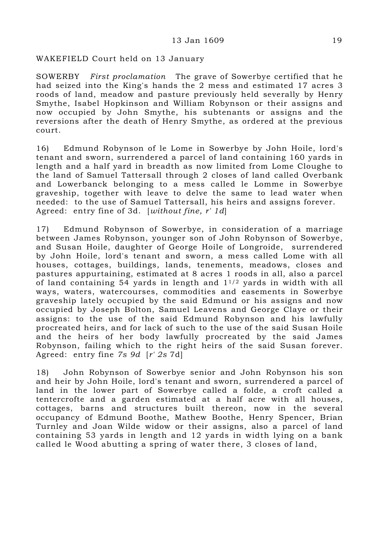# WAKEFIELD Court held on 13 January

SOWERBY First proclamation The grave of Sowerbye certified that he had seized into the King's hands the 2 mess and estimated 17 acres 3 roods of land, meadow and pasture previously held severally by Henry Smythe, Isabel Hopkinson and William Robynson or their assigns and now occupied by John Smythe, his subtenants or assigns and the reversions after the death of Henry Smythe, as ordered at the previous court.

16) Edmund Robynson of le Lome in Sowerbye by John Hoile, lord's tenant and sworn, surrendered a parcel of land containing 160 yards in length and a half yard in breadth as now limited from Lome Cloughe to the land of Samuel Tattersall through 2 closes of land called Overbank and Lowerbanck belonging to a mess called le Lomme in Sowerbye graveship, together with leave to delve the same to lead water when needed: to the use of Samuel Tattersall, his heirs and assigns forever. Agreed: entry fine of 3d. [without fine, r' 1d]

17) Edmund Robynson of Sowerbye, in consideration of a marriage between James Robynson, younger son of John Robynson of Sowerbye, and Susan Hoile, daughter of George Hoile of Longroide, surrendered by John Hoile, lord's tenant and sworn, a mess called Lome with all houses, cottages, buildings, lands, tenements, meadows, closes and pastures appurtaining, estimated at 8 acres 1 roods in all, also a parcel of land containing 54 yards in length and  $1^{1/2}$  yards in width with all ways, waters, watercourses, commodities and easements in Sowerbye graveship lately occupied by the said Edmund or his assigns and now occupied by Joseph Bolton, Samuel Leavens and George Claye or their assigns: to the use of the said Edmund Robynson and his lawfully procreated heirs, and for lack of such to the use of the said Susan Hoile and the heirs of her body lawfully procreated by the said James Robynson, failing which to the right heirs of the said Susan forever. Agreed: entry fine 7s 9d [r' 2s 7d]

18) John Robynson of Sowerbye senior and John Robynson his son and heir by John Hoile, lord's tenant and sworn, surrendered a parcel of land in the lower part of Sowerbye called a folde, a croft called a tentercrofte and a garden estimated at a half acre with all houses, cottages, barns and structures built thereon, now in the several occupancy of Edmund Boothe, Mathew Boothe, Henry Spencer, Brian Turnley and Joan Wilde widow or their assigns, also a parcel of land containing 53 yards in length and 12 yards in width lying on a bank called le Wood abutting a spring of water there, 3 closes of land,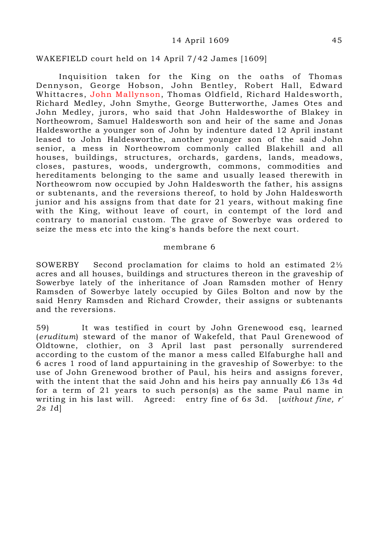### 14 April 1609 45

### WAKEFIELD court held on 14 April 7/42 James [1609]

 Inquisition taken for the King on the oaths of Thomas Dennyson, George Hobson, John Bentley, Robert Hall, Edward Whittacres, John Mallynson, Thomas Oldfield, Richard Haldesworth, Richard Medley, John Smythe, George Butterworthe, James Otes and John Medley, jurors, who said that John Haldesworthe of Blakey in Northeowrom, Samuel Haldesworth son and heir of the same and Jonas Haldesworthe a younger son of John by indenture dated 12 April instant leased to John Haldesworthe, another younger son of the said John senior, a mess in Northeowrom commonly called Blakehill and all houses, buildings, structures, orchards, gardens, lands, meadows, closes, pastures, woods, undergrowth, commons, commodities and hereditaments belonging to the same and usually leased therewith in Northeowrom now occupied by John Haldesworth the father, his assigns or subtenants, and the reversions thereof, to hold by John Haldesworth junior and his assigns from that date for 21 years, without making fine with the King, without leave of court, in contempt of the lord and contrary to manorial custom. The grave of Sowerbye was ordered to seize the mess etc into the king's hands before the next court.

### membrane 6

SOWERBY Second proclamation for claims to hold an estimated 2½ acres and all houses, buildings and structures thereon in the graveship of Sowerbye lately of the inheritance of Joan Ramsden mother of Henry Ramsden of Sowerbye lately occupied by Giles Bolton and now by the said Henry Ramsden and Richard Crowder, their assigns or subtenants and the reversions.

59) It was testified in court by John Grenewood esq, learned (eruditum) steward of the manor of Wakefeld, that Paul Grenewood of Oldtowne, clothier, on 3 April last past personally surrendered according to the custom of the manor a mess called Elfaburghe hall and 6 acres 1 rood of land appurtaining in the graveship of Sowerbye: to the use of John Grenewood brother of Paul, his heirs and assigns forever, with the intent that the said John and his heirs pay annually £6 13s 4d for a term of 21 years to such person(s) as the same Paul name in writing in his last will. Agreed: entry fine of 6s 3d. [without fine, r' 2s 1d]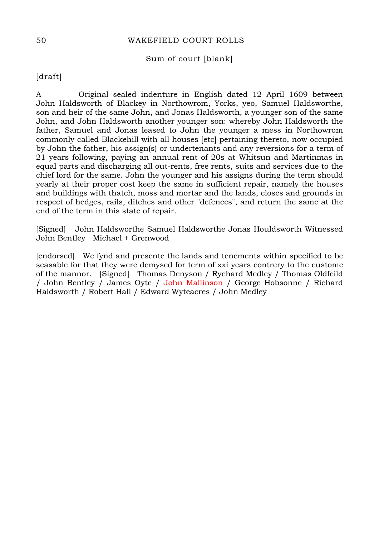## 50 WAKEFIELD COURT ROLLS

# Sum of court [blank]

[draft]

A Original sealed indenture in English dated 12 April 1609 between John Haldsworth of Blackey in Northowrom, Yorks, yeo, Samuel Haldsworthe, son and heir of the same John, and Jonas Haldsworth, a younger son of the same John, and John Haldsworth another younger son: whereby John Haldsworth the father, Samuel and Jonas leased to John the younger a mess in Northowrom commonly called Blackehill with all houses [etc] pertaining thereto, now occupied by John the father, his assign(s) or undertenants and any reversions for a term of 21 years following, paying an annual rent of 20s at Whitsun and Martinmas in equal parts and discharging all out-rents, free rents, suits and services due to the chief lord for the same. John the younger and his assigns during the term should yearly at their proper cost keep the same in sufficient repair, namely the houses and buildings with thatch, moss and mortar and the lands, closes and grounds in respect of hedges, rails, ditches and other "defences", and return the same at the end of the term in this state of repair.

[Signed] John Haldsworthe Samuel Haldsworthe Jonas Houldsworth Witnessed John Bentley Michael + Grenwood

[endorsed] We fynd and presente the lands and tenements within specified to be seasable for that they were demysed for term of xxi years contrery to the custome of the mannor. [Signed] Thomas Denyson / Rychard Medley / Thomas Oldfeild / John Bentley / James Oyte / John Mallinson / George Hobsonne / Richard Haldsworth / Robert Hall / Edward Wyteacres / John Medley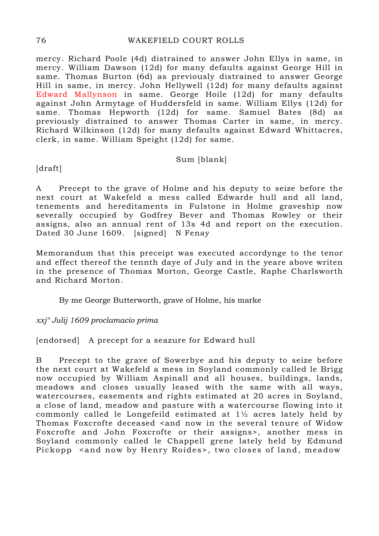## 76 WAKEFIELD COURT ROLLS

mercy. Richard Poole (4d) distrained to answer John Ellys in same, in mercy. William Dawson (12d) for many defaults against George Hill in same. Thomas Burton (6d) as previously distrained to answer George Hill in same, in mercy. John Hellywell (12d) for many defaults against Edward Mallynson in same. George Hoile (12d) for many defaults against John Armytage of Huddersfeld in same. William Ellys (12d) for same. Thomas Hepworth (12d) for same. Samuel Bates (8d) as previously distrained to answer Thomas Carter in same, in mercy. Richard Wilkinson (12d) for many defaults against Edward Whittacres, clerk, in same. William Speight (12d) for same.

# Sum [blank]

[draft]

A Precept to the grave of Holme and his deputy to seize before the next court at Wakefeld a mess called Edwarde hull and all land, tenements and hereditaments in Fulstone in Holme graveship now severally occupied by Godfrey Bever and Thomas Rowley or their assigns, also an annual rent of 13s 4d and report on the execution. Dated 30 June 1609. [signed] N Fenay

Memorandum that this preceipt was executed accordynge to the tenor and effect thereof the tennth daye of July and in the yeare above writen in the presence of Thomas Morton, George Castle, Raphe Charlsworth and Richard Morton.

By me George Butterworth, grave of Holme, his marke

xxj° Julij 1609 proclamacio prima

[endorsed] A precept for a seazure for Edward hull

B Precept to the grave of Sowerbye and his deputy to seize before the next court at Wakefeld a mess in Soyland commonly called le Brigg now occupied by William Aspinall and all houses, buildings, lands, meadows and closes usually leased with the same with all ways, watercourses, easements and rights estimated at 20 acres in Soyland, a close of land, meadow and pasture with a watercourse flowing into it commonly called le Longefeild estimated at 1½ acres lately held by Thomas Foxcrofte deceased sand now in the several tenure of Widow Foxcrofte and John Foxcrofte or their assigns>, another mess in Soyland commonly called le Chappell grene lately held by Edmund Pickopp <and now by Henry Roides>, two closes of land, meadow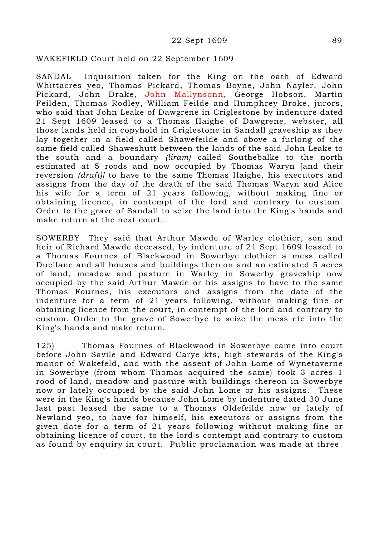### 22 Sept 1609 89

### WAKEFIELD Court held on 22 September 1609

SANDAL Inquisition taken for the King on the oath of Edward Whittacres yeo, Thomas Pickard, Thomas Boyne, John Nayler, John Pickard, John Drake, John Mallynsonn, George Hobson, Martin Feilden, Thomas Rodley, William Feilde and Humphrey Broke, jurors, who said that John Leake of Dawgrene in Criglestone by indenture dated 21 Sept 1609 leased to a Thomas Haighe of Dawgrene, webster, all those lands held in copyhold in Criglestone in Sandall graveship as they lay together in a field called Shawefeilde and above a furlong of the same field called Shaweshutt between the lands of the said John Leake to the south and a boundary (liram) called Southebalke to the north estimated at 5 roods and now occupied by Thomas Waryn [and their reversion (draft) to have to the same Thomas Haighe, his executors and assigns from the day of the death of the said Thomas Waryn and Alice his wife for a term of 21 years following, without making fine or obtaining licence, in contempt of the lord and contrary to custom. Order to the grave of Sandall to seize the land into the King's hands and make return at the next court.

SOWERBY They said that Arthur Mawde of Warley clothier, son and heir of Richard Mawde deceased, by indenture of 21 Sept 1609 leased to a Thomas Fournes of Blackwood in Sowerbye clothier a mess called Duellane and all houses and buildings thereon and an estimated 5 acres of land, meadow and pasture in Warley in Sowerby graveship now occupied by the said Arthur Mawde or his assigns to have to the same Thomas Fournes, his executors and assigns from the date of the indenture for a term of 21 years following, without making fine or obtaining licence from the court, in contempt of the lord and contrary to custom. Order to the grave of Sowerbye to seize the mess etc into the King's hands and make return.

125) Thomas Fournes of Blackwood in Sowerbye came into court before John Savile and Edward Carye kts, high stewards of the King's manor of Wakefeld, and with the assent of John Lome of Wynetaverne in Sowerbye (from whom Thomas acquired the same) took 3 acres 1 rood of land, meadow and pasture with buildings thereon in Sowerbye now or lately occupied by the said John Lome or his assigns. These were in the King's hands because John Lome by indenture dated 30 June last past leased the same to a Thomas Oldefeilde now or lately of Newland yeo, to have for himself, his executors or assigns from the given date for a term of 21 years following without making fine or obtaining licence of court, to the lord's contempt and contrary to custom as found by enquiry in court. Public proclamation was made at three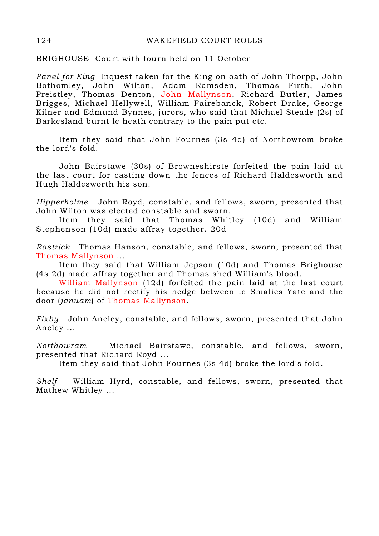BRIGHOUSE Court with tourn held on 11 October

Panel for King Inquest taken for the King on oath of John Thorpp, John Bothomley, John Wilton, Adam Ramsden, Thomas Firth, John Preistley, Thomas Denton, John Mallynson, Richard Butler, James Brigges, Michael Hellywell, William Fairebanck, Robert Drake, George Kilner and Edmund Bynnes, jurors, who said that Michael Steade (2s) of Barkesland burnt le heath contrary to the pain put etc.

 Item they said that John Fournes (3s 4d) of Northowrom broke the lord's fold.

 John Bairstawe (30s) of Browneshirste forfeited the pain laid at the last court for casting down the fences of Richard Haldesworth and Hugh Haldesworth his son.

Hipperholme John Royd, constable, and fellows, sworn, presented that John Wilton was elected constable and sworn.

 Item they said that Thomas Whitley (10d) and William Stephenson (10d) made affray together. 20d

Rastrick Thomas Hanson, constable, and fellows, sworn, presented that Thomas Mallynson ...

 Item they said that William Jepson (10d) and Thomas Brighouse (4s 2d) made affray together and Thomas shed William's blood.

William Mallynson (12d) forfeited the pain laid at the last court because he did not rectify his hedge between le Smalies Yate and the door (januam) of Thomas Mallynson.

Fixby John Aneley, constable, and fellows, sworn, presented that John Aneley ...

Northowram Michael Bairstawe, constable, and fellows, sworn, presented that Richard Royd ...

Item they said that John Fournes (3s 4d) broke the lord's fold.

Shelf William Hyrd, constable, and fellows, sworn, presented that Mathew Whitley ...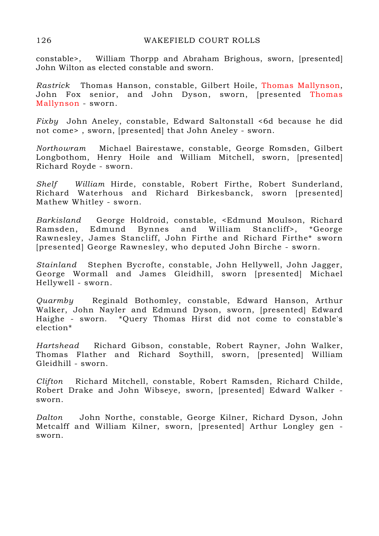constable>, William Thorpp and Abraham Brighous, sworn, [presented] John Wilton as elected constable and sworn.

Rastrick Thomas Hanson, constable, Gilbert Hoile, Thomas Mallynson, John Fox senior, and John Dyson, sworn, [presented Thomas Mallynson - sworn.

Fixby John Aneley, constable, Edward Saltonstall <6d because he did not come> , sworn, [presented] that John Aneley - sworn.

Northowram Michael Bairestawe, constable, George Romsden, Gilbert Longbothom, Henry Hoile and William Mitchell, sworn, [presented] Richard Royde - sworn.

Shelf William Hirde, constable, Robert Firthe, Robert Sunderland, Richard Waterhous and Richard Birkesbanck, sworn [presented] Mathew Whitley - sworn.

Barkisland George Holdroid, constable, <Edmund Moulson, Richard Ramsden, Edmund Bynnes and William Stancliff>, \*George Rawnesley, James Stancliff, John Firthe and Richard Firthe\* sworn [presented] George Rawnesley, who deputed John Birche - sworn.

Stainland Stephen Bycrofte, constable, John Hellywell, John Jagger, George Wormall and James Gleidhill, sworn [presented] Michael Hellywell - sworn.

Quarmby Reginald Bothomley, constable, Edward Hanson, Arthur Walker, John Nayler and Edmund Dyson, sworn, [presented] Edward Haighe - sworn. \*Query Thomas Hirst did not come to constable's election\*

Hartshead Richard Gibson, constable, Robert Rayner, John Walker, Thomas Flather and Richard Soythill, sworn, [presented] William Gleidhill - sworn.

Clifton Richard Mitchell, constable, Robert Ramsden, Richard Childe, Robert Drake and John Wibseye, sworn, [presented] Edward Walker sworn.

Dalton John Northe, constable, George Kilner, Richard Dyson, John Metcalff and William Kilner, sworn, [presented] Arthur Longley gen sworn.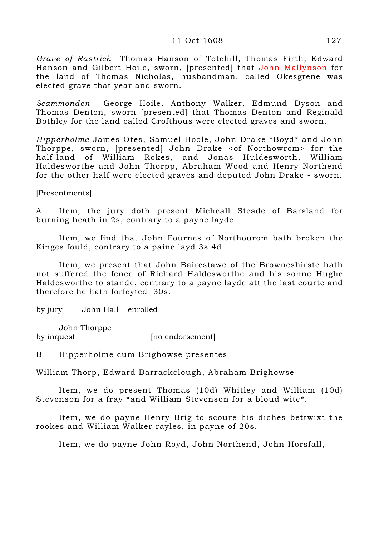#### 11 Oct 1608 127

Grave of Rastrick Thomas Hanson of Totehill, Thomas Firth, Edward Hanson and Gilbert Hoile, sworn, [presented] that John Mallynson for the land of Thomas Nicholas, husbandman, called Okesgrene was elected grave that year and sworn.

Scammonden George Hoile, Anthony Walker, Edmund Dyson and Thomas Denton, sworn [presented] that Thomas Denton and Reginald Bothley for the land called Crofthous were elected graves and sworn.

Hipperholme James Otes, Samuel Hoole, John Drake \*Boyd\* and John Thorppe, sworn, [presented] John Drake <of Northowrom> for the half-land of William Rokes, and Jonas Huldesworth, William Haldesworthe and John Thorpp, Abraham Wood and Henry Northend for the other half were elected graves and deputed John Drake - sworn.

[Presentments]

A Item, the jury doth present Micheall Steade of Barsland for burning heath in 2s, contrary to a payne layde.

 Item, we find that John Fournes of Northourom bath broken the Kinges fould, contrary to a paine layd 3s 4d

 Item, we present that John Bairestawe of the Browneshirste hath not suffered the fence of Richard Haldesworthe and his sonne Hughe Haldesworthe to stande, contrary to a payne layde att the last courte and therefore he hath forfeyted 30s.

by jury John Hall enrolled

 John Thorppe by inquest [no endorsement]

B Hipperholme cum Brighowse presentes

William Thorp, Edward Barrackclough, Abraham Brighowse

 Item, we do present Thomas (10d) Whitley and William (10d) Stevenson for a fray \*and William Stevenson for a bloud wite\*.

 Item, we do payne Henry Brig to scoure his diches bettwixt the rookes and William Walker rayles, in payne of 20s.

Item, we do payne John Royd, John Northend, John Horsfall,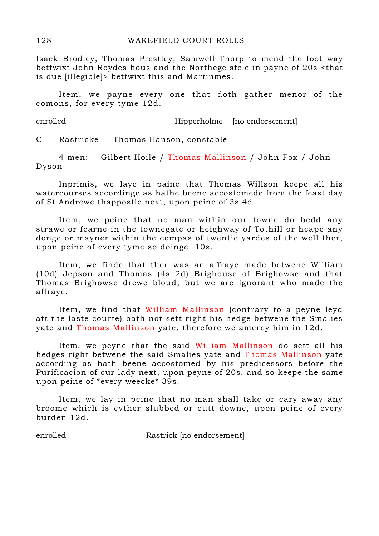Isack Brodley, Thomas Prestley, Samwell Thorp to mend the foot way bettwixt John Roydes hous and the Northege stele in payne of 20s <that is due [illegible]> bettwixt this and Martinmes.

 Item, we payne every one that doth gather menor of the comons, for every tyme 12d.

enrolled Hipperholme [no endorsement]

C Rastricke Thomas Hanson, constable

 4 men: Gilbert Hoile / Thomas Mallinson / John Fox / John Dyson

 Inprimis, we laye in paine that Thomas Willson keepe all his watercourses accordinge as hathe beene accostomede from the feast day of St Andrewe thappostle next, upon peine of 3s 4d.

 Item, we peine that no man within our towne do bedd any strawe or fearne in the townegate or heighway of Tothill or heape any donge or mayner within the compas of twentie yardes of the well ther, upon peine of every tyme so doinge 10s.

 Item, we finde that ther was an affraye made betwene William (10d) Jepson and Thomas (4s 2d) Brighouse of Brighowse and that Thomas Brighowse drewe bloud, but we are ignorant who made the affraye.

 Item, we find that William Mallinson (contrary to a peyne leyd att the laste courte) bath not sett right his hedge betwene the Smalies yate and Thomas Mallinson yate, therefore we amercy him in 12d.

 Item, we peyne that the said William Mallinson do sett all his hedges right betwene the said Smalies yate and Thomas Mallinson yate according as hath beene accostomed by his predicessors before the Purificacion of our lady next, upon peyne of 20s, and so keepe the same upon peine of \*every weecke\* 39s.

Item, we lay in peine that no man shall take or cary away any broome which is eyther slubbed or cutt downe, upon peine of every burden 12d.

enrolled Rastrick [no endorsement]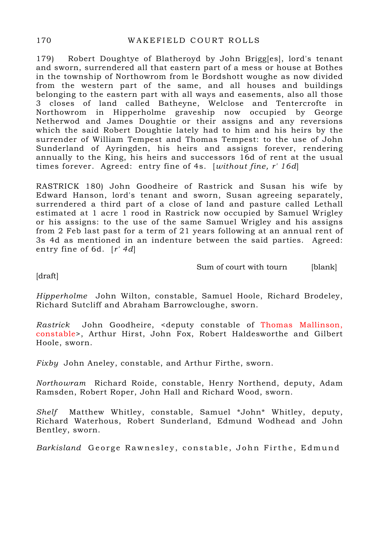179) Robert Doughtye of Blatheroyd by John Brigg[es], lord's tenant and sworn, surrendered all that eastern part of a mess or house at Bothes in the township of Northowrom from le Bordshott woughe as now divided from the western part of the same, and all houses and buildings belonging to the eastern part with all ways and easements, also all those 3 closes of land called Batheyne, Welclose and Tentercrofte in Northowrom in Hipperholme graveship now occupied by George Netherwod and James Doughtie or their assigns and any reversions which the said Robert Doughtie lately had to him and his heirs by the surrender of William Tempest and Thomas Tempest: to the use of John Sunderland of Ayringden, his heirs and assigns forever, rendering annually to the King, his heirs and successors 16d of rent at the usual times forever. Agreed: entry fine of 4s. [without fine, r' 16d]

RASTRICK 180) John Goodheire of Rastrick and Susan his wife by Edward Hanson, lord's tenant and sworn, Susan agreeing separately, surrendered a third part of a close of land and pasture called Lethall estimated at 1 acre 1 rood in Rastrick now occupied by Samuel Wrigley or his assigns: to the use of the same Samuel Wrigley and his assigns from 2 Feb last past for a term of 21 years following at an annual rent of 3s 4d as mentioned in an indenture between the said parties. Agreed: entry fine of 6d.  $[r' 4d]$ 

Sum of court with tourn [blank]

[draft]

Hipperholme John Wilton, constable, Samuel Hoole, Richard Brodeley, Richard Sutcliff and Abraham Barrowcloughe, sworn.

Rastrick John Goodheire, <deputy constable of Thomas Mallinson, constable>, Arthur Hirst, John Fox, Robert Haldesworthe and Gilbert Hoole, sworn.

Fixby John Aneley, constable, and Arthur Firthe, sworn.

Northowram Richard Roide, constable, Henry Northend, deputy, Adam Ramsden, Robert Roper, John Hall and Richard Wood, sworn.

Shelf Matthew Whitley, constable, Samuel \*John\* Whitley, deputy, Richard Waterhous, Robert Sunderland, Edmund Wodhead and John Bentley, sworn.

Barkisland George Rawnesley, constable, John Firthe, Edmund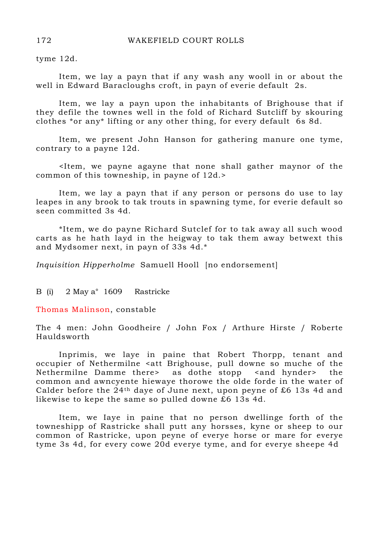tyme 12d.

 Item, we lay a payn that if any wash any wooll in or about the well in Edward Baracloughs croft, in payn of everie default 2s.

 Item, we lay a payn upon the inhabitants of Brighouse that if they defile the townes well in the fold of Richard Sutcliff by skouring clothes \*or any\* lifting or any other thing, for every default 6s 8d.

 Item, we present John Hanson for gathering manure one tyme, contrary to a payne 12d.

 <Item, we payne agayne that none shall gather maynor of the common of this towneship, in payne of 12d.>

 Item, we lay a payn that if any person or persons do use to lay leapes in any brook to tak trouts in spawning tyme, for everie default so seen committed 3s 4d.

 \*Item, we do payne Richard Sutclef for to tak away all such wood carts as he hath layd in the heigway to tak them away betwext this and Mydsomer next, in payn of 33s 4d.\*

Inquisition Hipperholme Samuell Hooll [no endorsement]

B (i) 2 May a° 1609 Rastricke

Thomas Malinson, constable

The 4 men: John Goodheire / John Fox / Arthure Hirste / Roberte Hauldsworth

 Inprimis, we laye in paine that Robert Thorpp, tenant and occupier of Nethermilne <att Brighouse, pull downe so muche of the Nethermilne Damme there as dothe stopp <and hynder> the common and awncyente hiewaye thorowe the olde forde in the water of Calder before the 24th daye of June next, upon peyne of £6 13s 4d and likewise to kepe the same so pulled downe £6 13s 4d.

 Item, we Iaye in paine that no person dwellinge forth of the towneshipp of Rastricke shall putt any horsses, kyne or sheep to our common of Rastricke, upon peyne of everye horse or mare for everye tyme 3s 4d, for every cowe 20d everye tyme, and for everye sheepe 4d